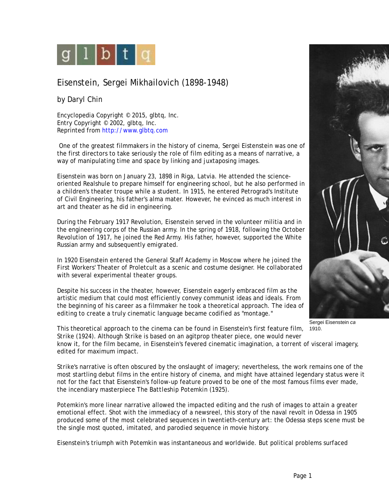

## Eisenstein, Sergei Mikhailovich (1898-1948)

by Daryl Chin

Encyclopedia Copyright © 2015, glbtq, Inc. Entry Copyright © 2002, glbtq, Inc. Reprinted from<http://www.glbtq.com>

 One of the greatest filmmakers in the history of cinema, Sergei Eistenstein was one of the first directors to take seriously the role of film editing as a means of narrative, a way of manipulating time and space by linking and juxtaposing images.

Eisenstein was born on January 23, 1898 in Riga, Latvia. He attended the scienceoriented Realshule to prepare himself for engineering school, but he also performed in a children's theater troupe while a student. In 1915, he entered Petrograd's Institute of Civil Engineering, his father's alma mater. However, he evinced as much interest in art and theater as he did in engineering.

During the February 1917 Revolution, Eisenstein served in the volunteer militia and in the engineering corps of the Russian army. In the spring of 1918, following the October Revolution of 1917, he joined the Red Army. His father, however, supported the White Russian army and subsequently emigrated.

In 1920 Eisenstein entered the General Staff Academy in Moscow where he joined the First Workers' Theater of Proletcult as a scenic and costume designer. He collaborated with several experimental theater groups.

Despite his success in the theater, however, Eisenstein eagerly embraced film as the artistic medium that could most efficiently convey communist ideas and ideals. From the beginning of his career as a filmmaker he took a theoretical approach. The idea of editing to create a truly cinematic language became codified as "montage."



Sergei Eisenstein *ca*

1910. This theoretical approach to the cinema can be found in Eisenstein's first feature film, *Strike* (1924). Although *Strike* is based on an agitprop theater piece, one would never know it, for the film became, in Eisenstein's fevered cinematic imagination, a torrent of visceral imagery, edited for maximum impact.

*Strike'*s narrative is often obscured by the onslaught of imagery; nevertheless, the work remains one of the most startling debut films in the entire history of cinema, and might have attained legendary status were it not for the fact that Eisenstein's follow-up feature proved to be one of the most famous films ever made, the incendiary masterpiece *The Battleship Potemkin* (1925).

*Potemkin'*s more linear narrative allowed the impacted editing and the rush of images to attain a greater emotional effect. Shot with the immediacy of a newsreel, this story of the naval revolt in Odessa in 1905 produced some of the most celebrated sequences in twentieth-century art: the Odessa steps scene must be the single most quoted, imitated, and parodied sequence in movie history.

Eisenstein's triumph with *Potemkin* was instantaneous and worldwide. But political problems surfaced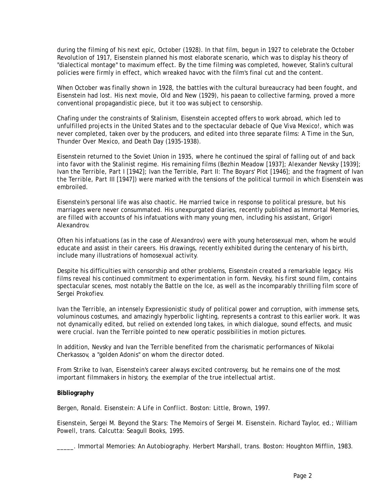during the filming of his next epic, *October* (1928). In that film, begun in 1927 to celebrate the October Revolution of 1917, Eisenstein planned his most elaborate scenario, which was to display his theory of "dialectical montage" to maximum effect. By the time filming was completed, however, Stalin's cultural policies were firmly in effect, which wreaked havoc with the film's final cut and the content.

When *October* was finally shown in 1928, the battles with the cultural bureaucracy had been fought, and Eisenstein had lost. His next movie, *Old and New* (1929), his paean to collective farming, proved a more conventional propagandistic piece, but it too was subject to censorship.

Chafing under the constraints of Stalinism, Eisenstein accepted offers to work abroad, which led to unfulfilled projects in the United States and to the spectacular debacle of *Que Viva Mexico!*, which was never completed, taken over by the producers, and edited into three separate films: *A Time in the Sun, Thunder Over Mexico*, and *Death Day* (1935-1938).

Eisenstein returned to the Soviet Union in 1935, where he continued the spiral of falling out of and back into favor with the Stalinist regime. His remaining films (*Bezhin Meadow* [1937]; *Alexander Nevsky* [1939]; *Ivan the Terrible, Part I* [1942]; *Ivan the Terrible, Part II: The Boyars' Plot* [1946]; and the fragment of *Ivan the Terrible, Part III* [1947]) were marked with the tensions of the political turmoil in which Eisenstein was embroiled.

Eisenstein's personal life was also chaotic. He married twice in response to political pressure, but his marriages were never consummated. His unexpurgated diaries, recently published as *Immortal Memories,* are filled with accounts of his infatuations with many young men, including his assistant, Grigori Alexandrov.

Often his infatuations (as in the case of Alexandrov) were with young heterosexual men, whom he would educate and assist in their careers. His drawings, recently exhibited during the centenary of his birth, include many illustrations of homosexual activity.

Despite his difficulties with censorship and other problems, Eisenstein created a remarkable legacy. His films reveal his continued commitment to experimentation in form. *Nevsky,* his first sound film, contains spectacular scenes, most notably the Battle on the Ice, as well as the incomparably thrilling film score of Sergei Prokofiev.

*Ivan the Terrible*, an intensely Expressionistic study of political power and corruption, with immense sets, voluminous costumes, and amazingly hyperbolic lighting, represents a contrast to this earlier work. It was not dynamically edited, but relied on extended long takes, in which dialogue, sound effects, and music were crucial. *Ivan the Terrible* pointed to new operatic possibilities in motion pictures.

In addition, *Nevsky* and *Ivan the Terrible* benefited from the charismatic performances of Nikolai Cherkassov, a "golden Adonis" on whom the director doted.

From *Strike* to *Ivan*, Eisenstein's career always excited controversy, but he remains one of the most important filmmakers in history, the exemplar of the true intellectual artist.

## **Bibliography**

Bergen, Ronald. *Eisenstein: A Life in Conflict.* Boston: Little, Brown, 1997.

Eisenstein, Sergei M. *Beyond the Stars: The Memoirs of Sergei M. Eisenstein*. Richard Taylor, ed.; William Powell, trans. Calcutta: Seagull Books, 1995.

\_\_\_\_\_. *Immortal Memories: An Autobiography*. Herbert Marshall, trans. Boston: Houghton Mifflin, 1983.